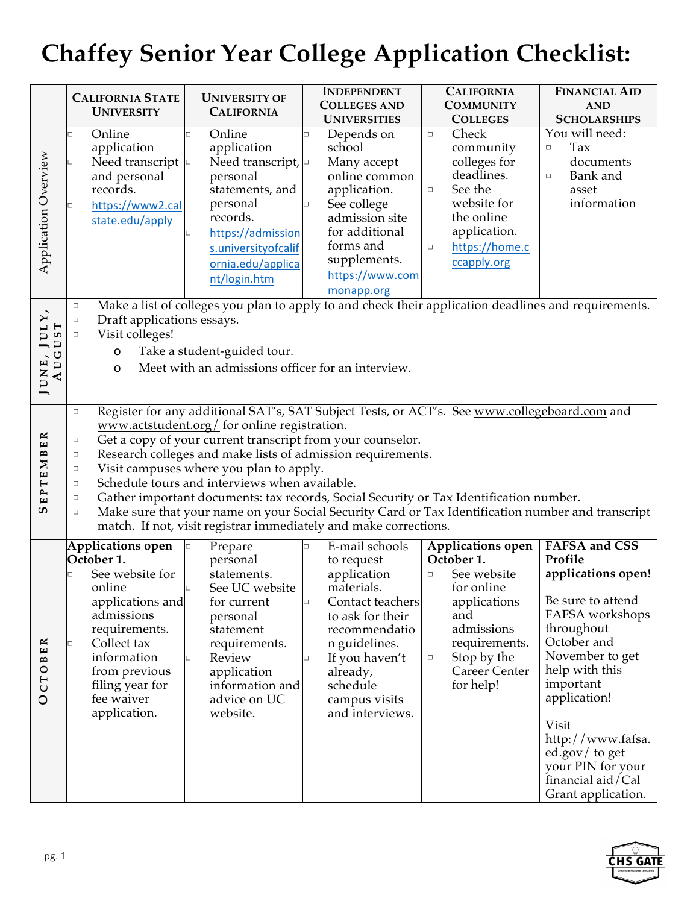## **Chaffey Senior Year College Application Checklist:**

|                                          | <b>CALIFORNIA STATE</b><br><b>UNIVERSITY</b>                                                                                                                                                                                                                                                                                                                                                                                                                                                                                                                                                                                                                                                                   | <b>UNIVERSITY OF</b><br><b>CALIFORNIA</b>                                                                                                                                                            | <b>INDEPENDENT</b><br><b>COLLEGES AND</b>                                                                                                                                                                                                       | <b>CALIFORNIA</b><br><b>COMMUNITY</b>                                                                                                                                                                                                                                                              | <b>FINANCIAL AID</b><br><b>AND</b>                                                                                                                                                                                                                                                                              |
|------------------------------------------|----------------------------------------------------------------------------------------------------------------------------------------------------------------------------------------------------------------------------------------------------------------------------------------------------------------------------------------------------------------------------------------------------------------------------------------------------------------------------------------------------------------------------------------------------------------------------------------------------------------------------------------------------------------------------------------------------------------|------------------------------------------------------------------------------------------------------------------------------------------------------------------------------------------------------|-------------------------------------------------------------------------------------------------------------------------------------------------------------------------------------------------------------------------------------------------|----------------------------------------------------------------------------------------------------------------------------------------------------------------------------------------------------------------------------------------------------------------------------------------------------|-----------------------------------------------------------------------------------------------------------------------------------------------------------------------------------------------------------------------------------------------------------------------------------------------------------------|
| Application Overview                     | Online<br>application<br>Need transcript $\vert$ <sup>o</sup><br>and personal<br>records.<br>https://www2.cal<br>□<br>state.edu/apply<br>$\Box$<br>$\Box$                                                                                                                                                                                                                                                                                                                                                                                                                                                                                                                                                      | Online<br>O<br>application<br>Need transcript, $\Box$<br>personal<br>statements, and<br>personal<br>records.<br>https://admission<br>s.universityofcalif<br>ornia.edu/applica<br>nt/login.htm        | <b>UNIVERSITIES</b><br>Depends on<br>$\Box$<br>school<br>Many accept<br>online common<br>application.<br>See college<br>0<br>admission site<br>for additional<br>forms and<br>supplements.<br>https://www.com<br>monapp.org                     | <b>COLLEGES</b><br>Check<br>$\Box$<br>community<br>colleges for<br>deadlines.<br>See the<br>$\Box$<br>website for<br>the online<br>application.<br>https://home.c<br>$\Box$<br>ccapply.org<br>Make a list of colleges you plan to apply to and check their application deadlines and requirements. | <b>SCHOLARSHIPS</b><br>You will need:<br>Tax<br>$\Box$<br>documents<br>Bank and<br>$\Box$<br>asset<br>information                                                                                                                                                                                               |
| JULY,<br>UST <sub></sub><br>AUG<br>JUNE, | Draft applications essays.<br>Visit colleges!<br>$\Box$<br>Take a student-guided tour.<br>$\mathbf O$<br>Meet with an admissions officer for an interview.<br>O                                                                                                                                                                                                                                                                                                                                                                                                                                                                                                                                                |                                                                                                                                                                                                      |                                                                                                                                                                                                                                                 |                                                                                                                                                                                                                                                                                                    |                                                                                                                                                                                                                                                                                                                 |
| EPTEMBER<br>ဖာ                           | Register for any additional SAT's, SAT Subject Tests, or ACT's. See www.collegeboard.com and<br>$\Box$<br>www.actstudent.org/ for online registration.<br>Get a copy of your current transcript from your counselor.<br>$\Box$<br>Research colleges and make lists of admission requirements.<br>$\Box$<br>Visit campuses where you plan to apply.<br>$\Box$<br>Schedule tours and interviews when available.<br>$\Box$<br>Gather important documents: tax records, Social Security or Tax Identification number.<br>$\Box$<br>Make sure that your name on your Social Security Card or Tax Identification number and transcript<br>$\Box$<br>match. If not, visit registrar immediately and make corrections. |                                                                                                                                                                                                      |                                                                                                                                                                                                                                                 |                                                                                                                                                                                                                                                                                                    |                                                                                                                                                                                                                                                                                                                 |
| ER<br>$\mathbf{r}$<br>CTO<br>$\circ$     | Applications open<br>October 1.<br>See website for<br>online<br>applications and<br>admissions<br>requirements.<br>Collect tax<br>□<br>information<br>from previous<br>filing year for<br>fee waiver<br>application.                                                                                                                                                                                                                                                                                                                                                                                                                                                                                           | Prepare<br>personal<br>statements.<br>See UC website<br>□<br>for current<br>personal<br>statement<br>requirements.<br>Review<br>$\Box$<br>application<br>information and<br>advice on UC<br>website. | E-mail schools<br>$\Box$<br>to request<br>application<br>materials.<br>Contact teachers<br>$\Box$<br>to ask for their<br>recommendatio<br>n guidelines.<br>If you haven't<br>$\Box$<br>already,<br>schedule<br>campus visits<br>and interviews. | <b>Applications open</b><br>October 1.<br>See website<br>$\Box$<br>for online<br>applications<br>and<br>admissions<br>requirements.<br>Stop by the<br>$\Box$<br><b>Career Center</b><br>for help!                                                                                                  | <b>FAFSA</b> and CSS<br>Profile<br>applications open!<br>Be sure to attend<br>FAFSA workshops<br>throughout<br>October and<br>November to get<br>help with this<br>important<br>application!<br>Visit<br>http://www.fafsa.<br>ed.gov/ to get<br>your PIN for your<br>financial aid/ $Cal$<br>Grant application. |

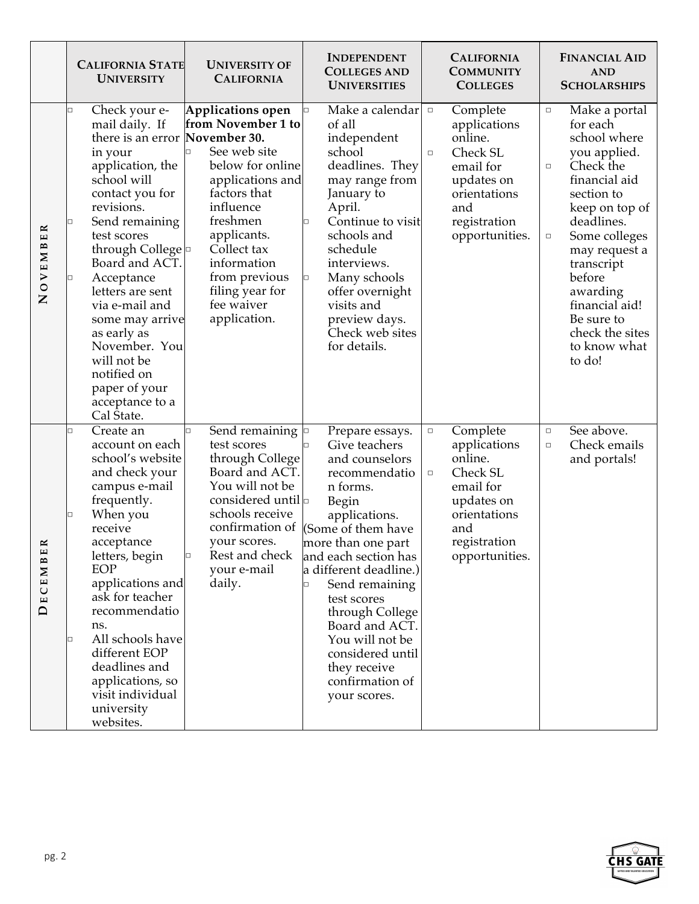|                                                       | <b>CALIFORNIA STATE</b><br><b>UNIVERSITY</b>                                                                                                                                                                                                                                                                                                                                                                                               | <b>UNIVERSITY OF</b><br><b>CALIFORNIA</b>                                                                                                                                                                                                               | <b>INDEPENDENT</b><br><b>COLLEGES AND</b><br><b>UNIVERSITIES</b>                                                                                                                                                                                                                                                                                                                  | <b>CALIFORNIA</b><br><b>COMMUNITY</b><br><b>COLLEGES</b>                                                                                                | <b>FINANCIAL AID</b><br><b>AND</b><br><b>SCHOLARSHIPS</b>                                                                                                                                                                                                                                                              |
|-------------------------------------------------------|--------------------------------------------------------------------------------------------------------------------------------------------------------------------------------------------------------------------------------------------------------------------------------------------------------------------------------------------------------------------------------------------------------------------------------------------|---------------------------------------------------------------------------------------------------------------------------------------------------------------------------------------------------------------------------------------------------------|-----------------------------------------------------------------------------------------------------------------------------------------------------------------------------------------------------------------------------------------------------------------------------------------------------------------------------------------------------------------------------------|---------------------------------------------------------------------------------------------------------------------------------------------------------|------------------------------------------------------------------------------------------------------------------------------------------------------------------------------------------------------------------------------------------------------------------------------------------------------------------------|
| $\approx$<br>$\frac{1}{2}$<br>OVEMB<br>$\overline{z}$ | Check your e-<br>$\Box$<br>mail daily. If<br>there is an error November 30.<br>in your<br>application, the<br>school will<br>contact you for<br>revisions.<br>Send remaining<br>□<br>test scores<br>through College <b>p</b><br>Board and ACT.<br>Acceptance<br>□<br>letters are sent<br>via e-mail and<br>some may arrive<br>as early as<br>November. You<br>will not be<br>notified on<br>paper of your<br>acceptance to a<br>Cal State. | Applications open<br>from November 1 to<br>See web site<br>below for online<br>applications and<br>factors that<br>influence<br>freshmen<br>applicants.<br>Collect tax<br>information<br>from previous<br>filing year for<br>fee waiver<br>application. | Make a calendar<br>of all<br>independent<br>school<br>deadlines. They<br>may range from<br>January to<br>April.<br>Continue to visit<br>schools and<br>schedule<br>interviews.<br>Many schools<br>$\Box$<br>offer overnight<br>visits and<br>preview days.<br>Check web sites<br>for details.                                                                                     | Complete<br>$\Box$<br>applications<br>online.<br>Check SL<br>$\Box$<br>email for<br>updates on<br>orientations<br>and<br>registration<br>opportunities. | Make a portal<br>$\Box$<br>for each<br>school where<br>you applied.<br>Check the<br>$\Box$<br>financial aid<br>section to<br>keep on top of<br>deadlines.<br>Some colleges<br>$\Box$<br>may request a<br>transcript<br>before<br>awarding<br>financial aid!<br>Be sure to<br>check the sites<br>to know what<br>to do! |
| $\approx$<br>ш<br>DECEMB                              | Create an<br>$\Box$<br>account on each<br>school's website<br>and check your<br>campus e-mail<br>frequently.<br>When you<br>receive<br>acceptance<br>letters, begin<br>EOP<br>applications and<br>ask for teacher<br>recommendatio<br>ns.<br>All schools have<br>□<br>different EOP<br>deadlines and<br>applications, so<br>visit individual<br>university<br>websites.                                                                    | Send remaining $\Box$<br>o<br>test scores<br>through College<br>Board and ACT.<br>You will not be<br>considered until $\Box$<br>schools receive<br>confirmation of<br>your scores.<br>Rest and check<br>your e-mail<br>daily.                           | Prepare essays.<br>Give teachers<br>and counselors<br>recommendatio<br>n forms.<br>Begin<br>applications.<br>(Some of them have<br>more than one part<br>and each section has<br>a different deadline.)<br>Send remaining<br>$\Box$<br>test scores<br>through College<br>Board and ACT.<br>You will not be<br>considered until<br>they receive<br>confirmation of<br>your scores. | Complete<br>$\Box$<br>applications<br>online.<br>Check SL<br>$\Box$<br>email for<br>updates on<br>orientations<br>and<br>registration<br>opportunities. | See above.<br>$\Box$<br>Check emails<br>$\Box$<br>and portals!                                                                                                                                                                                                                                                         |

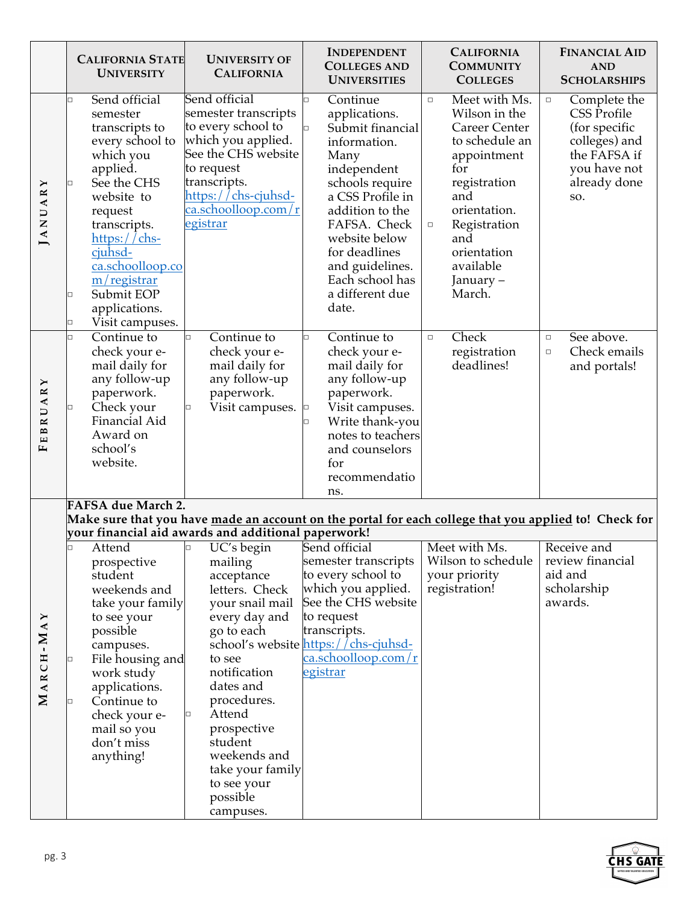|                   | <b>CALIFORNIA STATE</b><br><b>UNIVERSITY</b>                                                                                                                                                                                                                                                          | <b>UNIVERSITY OF</b><br><b>CALIFORNIA</b>                                                                                                                                                                                                                                                    | <b>INDEPENDENT</b><br><b>COLLEGES AND</b><br><b>UNIVERSITIES</b>                                                                                                                                                                                                                  | <b>CALIFORNIA</b><br><b>COMMUNITY</b><br><b>COLLEGES</b>                                                                                                                                                                            | <b>FINANCIAL AID</b><br><b>AND</b><br><b>SCHOLARSHIPS</b>                                                                             |
|-------------------|-------------------------------------------------------------------------------------------------------------------------------------------------------------------------------------------------------------------------------------------------------------------------------------------------------|----------------------------------------------------------------------------------------------------------------------------------------------------------------------------------------------------------------------------------------------------------------------------------------------|-----------------------------------------------------------------------------------------------------------------------------------------------------------------------------------------------------------------------------------------------------------------------------------|-------------------------------------------------------------------------------------------------------------------------------------------------------------------------------------------------------------------------------------|---------------------------------------------------------------------------------------------------------------------------------------|
| JANUARY           | Send official<br>$\Box$<br>semester<br>transcripts to<br>every school to<br>which you<br>applied.<br>See the CHS<br>$\Box$<br>website to<br>request<br>transcripts.<br>https://chs-<br>cjuhsd-<br>ca.schoolloop.co<br>$m/$ registrar<br>Submit EOP<br>□<br>applications.<br>Visit campuses.<br>$\Box$ | Send official<br>semester transcripts<br>to every school to<br>which you applied.<br>See the CHS website<br>to request<br>transcripts.<br>https://chs-cjuhsd-<br>ca.schoolloop.com/r<br>egistrar                                                                                             | Continue<br>$\Box$<br>applications.<br>Submit financial<br>o<br>information.<br>Many<br>independent<br>schools require<br>a CSS Profile in<br>addition to the<br>FAFSA. Check<br>website below<br>for deadlines<br>and guidelines.<br>Each school has<br>a different due<br>date. | Meet with Ms.<br>$\Box$<br>Wilson in the<br><b>Career Center</b><br>to schedule an<br>appointment<br>for<br>registration<br>and<br>orientation.<br>Registration<br>$\Box$<br>and<br>orientation<br>available<br>January –<br>March. | Complete the<br>$\Box$<br><b>CSS Profile</b><br>(for specific<br>colleges) and<br>the FAFSA if<br>you have not<br>already done<br>SO. |
| UARY<br>EBRI<br>щ | Continue to<br>$\Box$<br>check your e-<br>mail daily for<br>any follow-up<br>paperwork.<br>Check your<br>$\Box$<br>Financial Aid<br>Award on<br>school's<br>website.                                                                                                                                  | $\overline{\text{Continue}}$ to<br>$\Box$<br>check your e-<br>mail daily for<br>any follow-up<br>paperwork.<br>Visit campuses.<br>□                                                                                                                                                          | Continue to<br>$\Box$<br>check your e-<br>mail daily for<br>any follow-up<br>paperwork.<br>Visit campuses.<br>O<br>Write thank-you<br>$\Box$<br>notes to teachers<br>and counselors<br>for<br>recommendatio<br>ns.                                                                | Check<br>$\Box$<br>registration<br>deadlines!                                                                                                                                                                                       | See above.<br>$\Box$<br>Check emails<br>$\Box$<br>and portals!                                                                        |
|                   | <b>FAFSA due March 2.</b><br>Make sure that you have made an account on the portal for each college that you applied to! Check for<br>your financial aid awards and additional paperwork!                                                                                                             |                                                                                                                                                                                                                                                                                              |                                                                                                                                                                                                                                                                                   |                                                                                                                                                                                                                                     |                                                                                                                                       |
| MARCH-MAY         | Attend<br>□<br>prospective<br>student<br>weekends and<br>take your family<br>to see your<br>possible<br>campuses.<br>File housing and<br>□<br>work study<br>applications.<br>Continue to<br>□<br>check your e-<br>mail so you<br>don't miss<br>anything!                                              | UC's begin<br>o<br>mailing<br>acceptance<br>letters. Check<br>your snail mail<br>every day and<br>go to each<br>to see<br>notification<br>dates and<br>procedures.<br>Attend<br>$\Box$<br>prospective<br>student<br>weekends and<br>take your family<br>to see your<br>possible<br>campuses. | Send official<br>semester transcripts<br>to every school to<br>which you applied.<br>See the CHS website<br>to request<br>transcripts.<br>school's website https://chs-cjuhsd-<br>ca.schoolloop.com/r<br>egistrar                                                                 | Meet with Ms.<br>Wilson to schedule<br>your priority<br>registration!                                                                                                                                                               | Receive and<br>review financial<br>aid and<br>scholarship<br>awards.                                                                  |